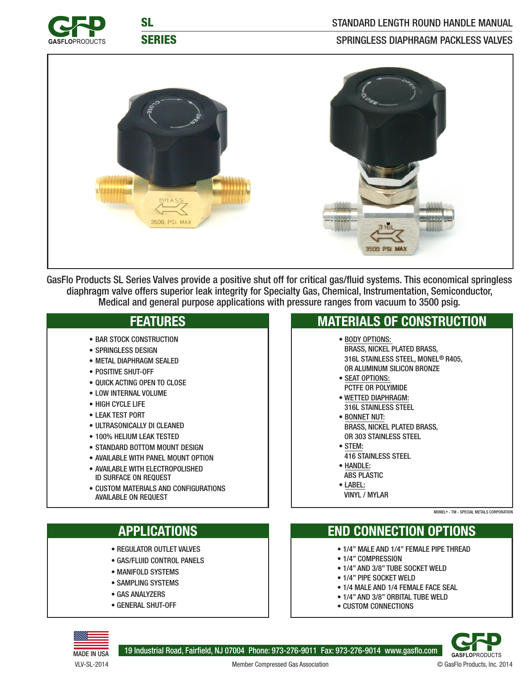

SL SERIES

### SPRINGLESS DIAPHRAGM PACKLESS VALVES



GasFlo Products SL Series Valves provide a positive shut off for critical gas/fluid systems. This economical springless diaphragm valve offers superior leak integrity for Specialty Gas, Chemical, Instrumentation, Semiconductor, Medical and general purpose applications with pressure ranges from vacuum to 3500 psig.

## **FEATURES**

- BAR STOCK CONSTRUCTION
- SPRINGLESS DESIGN
- METAL DIAPHRAGM SEALED
- POSITIVE SHUT-OFF
- QUICK ACTING OPEN TO CLOSE
- LOW INTERNAL VOLUME
- HIGH CYCLE LIFE
- LEAK TEST PORT
- ULTRASONICALLY DI CLEANED
- 100% HELIUM LEAK TESTED
- STANDARD BOTTOM MOUNT DESIGN
- AVAILABLE WITH PANEL MOUNT OPTION
- AVAILABLE WITH ELECTROPOLISHED ID SURFACE ON REQUEST
- CUSTOM MATERIALS AND CONFIGURATIONS AVAILABLE ON REQUEST

# **APPLICATIONS**

- REGULATOR OUTLET VALVES
- GAS/FLUID CONTROL PANELS
- MANIFOLD SYSTEMS
- SAMPLING SYSTEMS
- GAS ANALYZERS
- GENERAL SHUT-OFF

### **MATERIALS OF CONSTRUCTION**

• BODY OPTIONS:

 BRASS, NICKEL PLATED BRASS, 316L STAINLESS STEEL, MONEL® R405, OR ALUMINUM SILICON BRONZE

- SEAT OPTIONS: PCTFE OR POLYIMIDE
- WETTED DIAPHRAGM: 316L STAINLESS STEEL
- BONNET NUT: BRASS, NICKEL PLATED BRASS, OR 303 STAINLESS STEEL
- STEM:
- 416 STAINLESS STEEL
- HANDLE:
- ABS PLASTIC • LABEL:
- VINYL / MYLAR

#### MONEL® - TM - SPECIAL METALS CORPORATION

## **END CONNECTION OPTIONS**

- 1/4" MALE AND 1/4" FEMALE PIPE THREAD
- 1/4" COMPRESSION
- 1/4" AND 3/8" TUBE SOCKET WELD
- 1/4" PIPE SOCKET WELD
- 1/4 MALE AND 1/4 FEMALE FACE SEAL
- 1/4" AND 3/8" ORBITAL TUBE WELD
- CUSTOM CONNECTIONS



19 Industrial Road, Fairfield, NJ 07004 Phone: 973-276-9011 Fax: 973-276-9014 www.gasflo.com

**GASFLOPRODUCTS** 

Member Compressed Gas Association © GasFlo Products, Inc. 2014